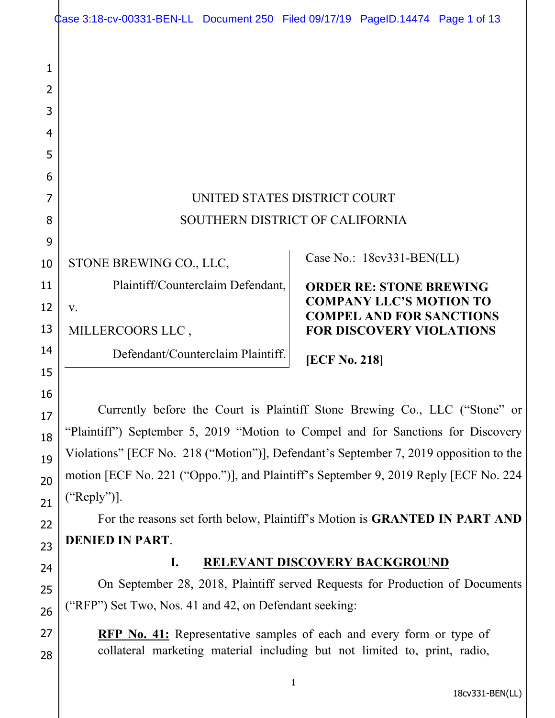|                            | Case 3:18-cv-00331-BEN-LL Document 250 Filed 09/17/19 PageID.14474 Page 1 of 13                                                                          |                                                                   |
|----------------------------|----------------------------------------------------------------------------------------------------------------------------------------------------------|-------------------------------------------------------------------|
| 1<br>2<br>3<br>4<br>5<br>6 |                                                                                                                                                          |                                                                   |
| 7                          | UNITED STATES DISTRICT COURT                                                                                                                             |                                                                   |
| 8                          | SOUTHERN DISTRICT OF CALIFORNIA                                                                                                                          |                                                                   |
| 9                          |                                                                                                                                                          |                                                                   |
| 10                         | STONE BREWING CO., LLC,                                                                                                                                  | Case No.: 18cv331-BEN(LL)                                         |
| 11                         | Plaintiff/Counterclaim Defendant,                                                                                                                        | <b>ORDER RE: STONE BREWING</b>                                    |
| 12                         | V.                                                                                                                                                       | <b>COMPANY LLC'S MOTION TO</b><br><b>COMPEL AND FOR SANCTIONS</b> |
| 13                         | MILLERCOORS LLC,                                                                                                                                         | <b>FOR DISCOVERY VIOLATIONS</b>                                   |
| 14                         | Defendant/Counterclaim Plaintiff.                                                                                                                        | <b>[ECF No. 218]</b>                                              |
| 15                         |                                                                                                                                                          |                                                                   |
| 16<br>17                   | Currently before the Court is Plaintiff Stone Brewing Co., LLC ("Stone" or                                                                               |                                                                   |
| 18                         | "Plaintiff") September 5, 2019 "Motion to Compel and for Sanctions for Discovery                                                                         |                                                                   |
| 19                         | Violations" [ECF No. 218 ("Motion")], Defendant's September 7, 2019 opposition to the                                                                    |                                                                   |
| 20                         | motion [ECF No. 221 ("Oppo.")], and Plaintiff's September 9, 2019 Reply [ECF No. 224                                                                     |                                                                   |
| 21                         | ("Reply")].                                                                                                                                              |                                                                   |
| 22                         | For the reasons set forth below, Plaintiff's Motion is <b>GRANTED IN PART AND</b>                                                                        |                                                                   |
| 23                         | <b>DENIED IN PART.</b>                                                                                                                                   |                                                                   |
| 24                         | I.<br><b>RELEVANT DISCOVERY BACKGROUND</b>                                                                                                               |                                                                   |
| 25                         | On September 28, 2018, Plaintiff served Requests for Production of Documents                                                                             |                                                                   |
| 26                         | ("RFP") Set Two, Nos. 41 and 42, on Defendant seeking:                                                                                                   |                                                                   |
| 27<br>28                   | <b>RFP No. 41:</b> Representative samples of each and every form or type of<br>collateral marketing material including but not limited to, print, radio, |                                                                   |

18cv331-BEN(LL)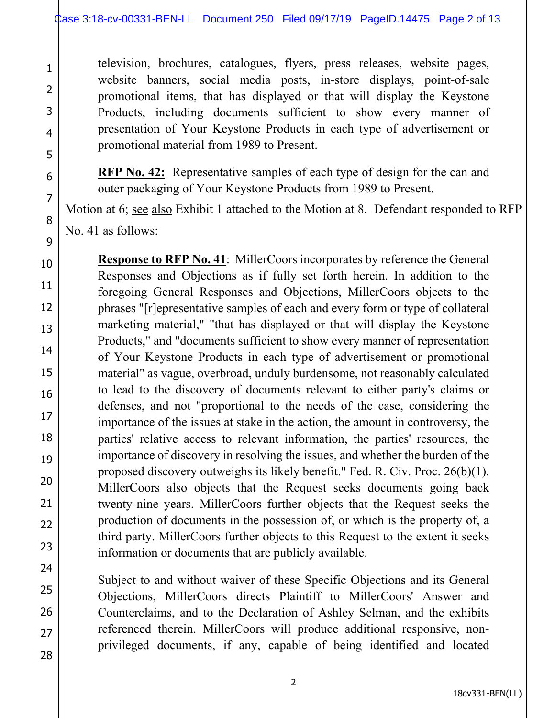television, brochures, catalogues, flyers, press releases, website pages, website banners, social media posts, in-store displays, point-of-sale promotional items, that has displayed or that will display the Keystone Products, including documents sufficient to show every manner of presentation of Your Keystone Products in each type of advertisement or promotional material from 1989 to Present.

**RFP No. 42:** Representative samples of each type of design for the can and outer packaging of Your Keystone Products from 1989 to Present.

Motion at 6; see also Exhibit 1 attached to the Motion at 8. Defendant responded to RFP No. 41 as follows:

**Response to RFP No. 41**: MillerCoors incorporates by reference the General Responses and Objections as if fully set forth herein. In addition to the foregoing General Responses and Objections, MillerCoors objects to the phrases "[r]epresentative samples of each and every form or type of collateral marketing material," "that has displayed or that will display the Keystone Products," and "documents sufficient to show every manner of representation of Your Keystone Products in each type of advertisement or promotional material" as vague, overbroad, unduly burdensome, not reasonably calculated to lead to the discovery of documents relevant to either party's claims or defenses, and not "proportional to the needs of the case, considering the importance of the issues at stake in the action, the amount in controversy, the parties' relative access to relevant information, the parties' resources, the importance of discovery in resolving the issues, and whether the burden of the proposed discovery outweighs its likely benefit." Fed. R. Civ. Proc. 26(b)(1). MillerCoors also objects that the Request seeks documents going back twenty-nine years. MillerCoors further objects that the Request seeks the production of documents in the possession of, or which is the property of, a third party. MillerCoors further objects to this Request to the extent it seeks information or documents that are publicly available.

Subject to and without waiver of these Specific Objections and its General Objections, MillerCoors directs Plaintiff to MillerCoors' Answer and Counterclaims, and to the Declaration of Ashley Selman, and the exhibits referenced therein. MillerCoors will produce additional responsive, nonprivileged documents, if any, capable of being identified and located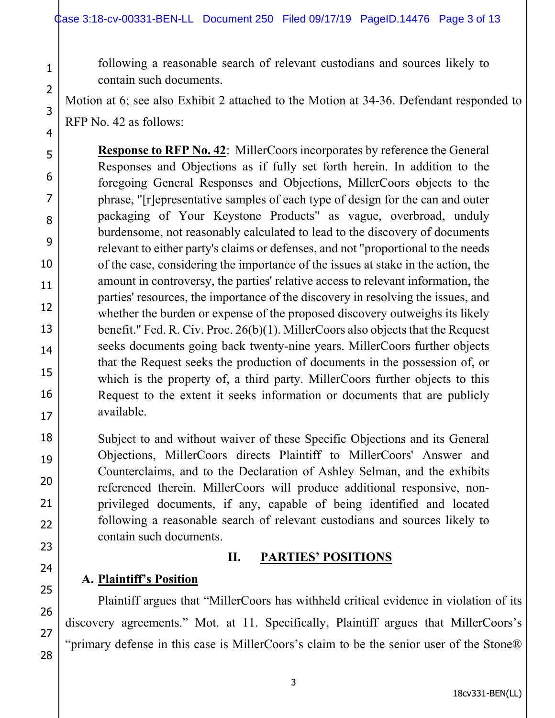following a reasonable search of relevant custodians and sources likely to contain such documents.

Motion at 6; see also Exhibit 2 attached to the Motion at 34-36. Defendant responded to RFP No. 42 as follows:

**Response to RFP No. 42**: MillerCoors incorporates by reference the General Responses and Objections as if fully set forth herein. In addition to the foregoing General Responses and Objections, MillerCoors objects to the phrase, "[r]epresentative samples of each type of design for the can and outer packaging of Your Keystone Products" as vague, overbroad, unduly burdensome, not reasonably calculated to lead to the discovery of documents relevant to either party's claims or defenses, and not "proportional to the needs of the case, considering the importance of the issues at stake in the action, the amount in controversy, the parties' relative access to relevant information, the parties' resources, the importance of the discovery in resolving the issues, and whether the burden or expense of the proposed discovery outweighs its likely benefit." Fed. R. Civ. Proc. 26(b)(1). MillerCoors also objects that the Request seeks documents going back twenty-nine years. MillerCoors further objects that the Request seeks the production of documents in the possession of, or which is the property of, a third party. MillerCoors further objects to this Request to the extent it seeks information or documents that are publicly available.

Subject to and without waiver of these Specific Objections and its General Objections, MillerCoors directs Plaintiff to MillerCoors' Answer and Counterclaims, and to the Declaration of Ashley Selman, and the exhibits referenced therein. MillerCoors will produce additional responsive, nonprivileged documents, if any, capable of being identified and located following a reasonable search of relevant custodians and sources likely to contain such documents.

## **II. PARTIES' POSITIONS**

## **A. Plaintiff's Position**

 Plaintiff argues that "MillerCoors has withheld critical evidence in violation of its discovery agreements." Mot. at 11. Specifically, Plaintiff argues that MillerCoors's "primary defense in this case is MillerCoors's claim to be the senior user of the Stone®

1

2

3

4

5

6

7

8

9

10

11

12

13

14

15

16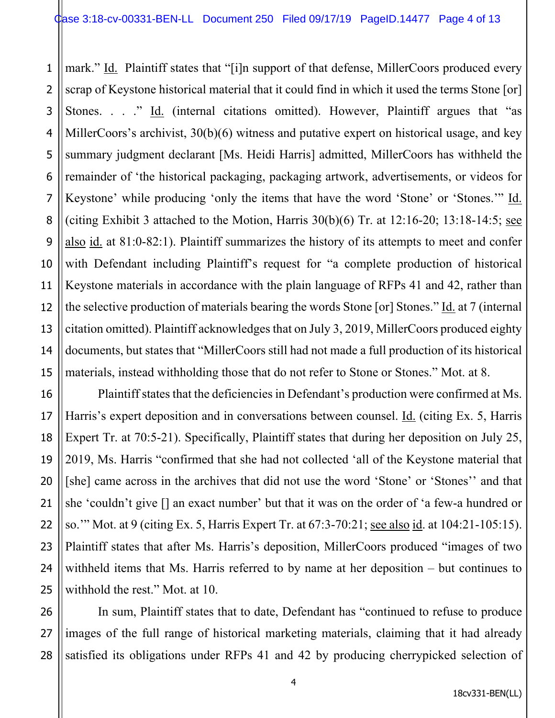1 2 3 4 5 6 7 8 9 10 11 12 13 14 15 mark." Id. Plaintiff states that "[i]n support of that defense, MillerCoors produced every scrap of Keystone historical material that it could find in which it used the terms Stone [or] Stones. . . ." Id. (internal citations omitted). However, Plaintiff argues that "as MillerCoors's archivist, 30(b)(6) witness and putative expert on historical usage, and key summary judgment declarant [Ms. Heidi Harris] admitted, MillerCoors has withheld the remainder of 'the historical packaging, packaging artwork, advertisements, or videos for Keystone' while producing 'only the items that have the word 'Stone' or 'Stones.'" Id. (citing Exhibit 3 attached to the Motion, Harris  $30(b)(6)$  Tr. at  $12:16-20$ ;  $13:18-14:5$ ; see also id. at 81:0-82:1). Plaintiff summarizes the history of its attempts to meet and confer with Defendant including Plaintiff's request for "a complete production of historical Keystone materials in accordance with the plain language of RFPs 41 and 42, rather than the selective production of materials bearing the words Stone [or] Stones." Id. at 7 (internal citation omitted). Plaintiff acknowledges that on July 3, 2019, MillerCoors produced eighty documents, but states that "MillerCoors still had not made a full production of its historical materials, instead withholding those that do not refer to Stone or Stones." Mot. at 8.

Plaintiff states that the deficiencies in Defendant's production were confirmed at Ms. Harris's expert deposition and in conversations between counsel. Id. (citing Ex. 5, Harris Expert Tr. at 70:5-21). Specifically, Plaintiff states that during her deposition on July 25, 2019, Ms. Harris "confirmed that she had not collected 'all of the Keystone material that [she] came across in the archives that did not use the word 'Stone' or 'Stones'' and that she 'couldn't give [] an exact number' but that it was on the order of 'a few-a hundred or so.'" Mot. at 9 (citing Ex. 5, Harris Expert Tr. at 67:3-70:21; see also id. at 104:21-105:15). Plaintiff states that after Ms. Harris's deposition, MillerCoors produced "images of two withheld items that Ms. Harris referred to by name at her deposition – but continues to withhold the rest." Mot. at 10.

16

17

18

19

20

21

22

23

24

25

26 27 28 In sum, Plaintiff states that to date, Defendant has "continued to refuse to produce images of the full range of historical marketing materials, claiming that it had already satisfied its obligations under RFPs 41 and 42 by producing cherrypicked selection of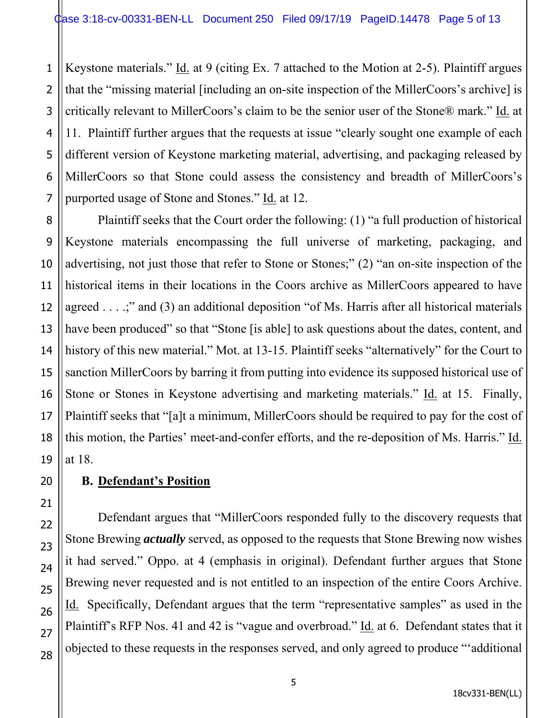1 2 Keystone materials." Id. at 9 (citing Ex. 7 attached to the Motion at 2-5). Plaintiff argues that the "missing material [including an on-site inspection of the MillerCoors's archive] is critically relevant to MillerCoors's claim to be the senior user of the Stone® mark." Id. at 11. Plaintiff further argues that the requests at issue "clearly sought one example of each different version of Keystone marketing material, advertising, and packaging released by MillerCoors so that Stone could assess the consistency and breadth of MillerCoors's purported usage of Stone and Stones." Id. at 12.

 Plaintiff seeks that the Court order the following: (1) "a full production of historical Keystone materials encompassing the full universe of marketing, packaging, and advertising, not just those that refer to Stone or Stones;" (2) "an on-site inspection of the historical items in their locations in the Coors archive as MillerCoors appeared to have agreed . . . .;" and (3) an additional deposition "of Ms. Harris after all historical materials have been produced" so that "Stone [is able] to ask questions about the dates, content, and history of this new material." Mot. at 13-15. Plaintiff seeks "alternatively" for the Court to sanction MillerCoors by barring it from putting into evidence its supposed historical use of Stone or Stones in Keystone advertising and marketing materials." Id. at 15. Finally, Plaintiff seeks that "[a]t a minimum, MillerCoors should be required to pay for the cost of this motion, the Parties' meet-and-confer efforts, and the re-deposition of Ms. Harris." Id. at 18.

## **B. Defendant's Position**

Defendant argues that "MillerCoors responded fully to the discovery requests that Stone Brewing *actually* served, as opposed to the requests that Stone Brewing now wishes it had served." Oppo. at 4 (emphasis in original). Defendant further argues that Stone Brewing never requested and is not entitled to an inspection of the entire Coors Archive. Id. Specifically, Defendant argues that the term "representative samples" as used in the Plaintiff's RFP Nos. 41 and 42 is "vague and overbroad." Id. at 6. Defendant states that it objected to these requests in the responses served, and only agreed to produce "'additional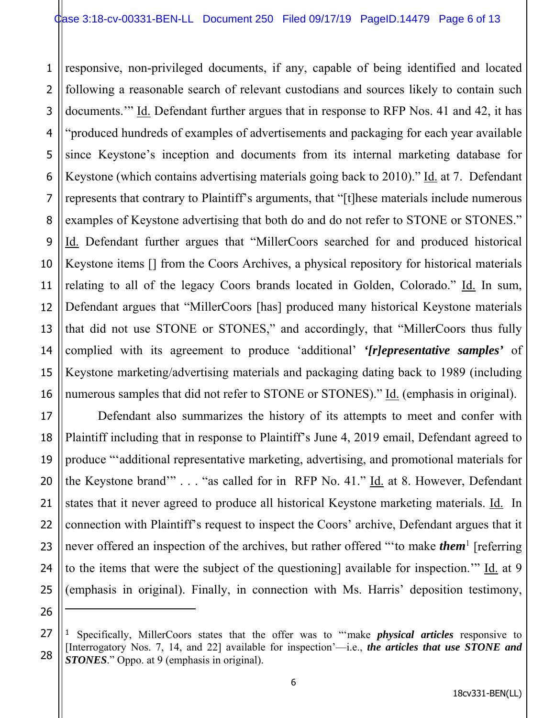1 2 3 4 5 6 7 8 9 10 11 12 13 14 15 16 responsive, non-privileged documents, if any, capable of being identified and located following a reasonable search of relevant custodians and sources likely to contain such documents.'" Id. Defendant further argues that in response to RFP Nos. 41 and 42, it has "produced hundreds of examples of advertisements and packaging for each year available since Keystone's inception and documents from its internal marketing database for Keystone (which contains advertising materials going back to 2010)." Id. at 7. Defendant represents that contrary to Plaintiff's arguments, that "[t]hese materials include numerous examples of Keystone advertising that both do and do not refer to STONE or STONES." Id. Defendant further argues that "MillerCoors searched for and produced historical Keystone items [] from the Coors Archives, a physical repository for historical materials relating to all of the legacy Coors brands located in Golden, Colorado." Id. In sum, Defendant argues that "MillerCoors [has] produced many historical Keystone materials that did not use STONE or STONES," and accordingly, that "MillerCoors thus fully complied with its agreement to produce 'additional' *'[r]epresentative samples'* of Keystone marketing/advertising materials and packaging dating back to 1989 (including numerous samples that did not refer to STONE or STONES)." Id. (emphasis in original).

Defendant also summarizes the history of its attempts to meet and confer with Plaintiff including that in response to Plaintiff's June 4, 2019 email, Defendant agreed to produce "'additional representative marketing, advertising, and promotional materials for the Keystone brand"" . . . "as called for in RFP No. 41." Id. at 8. However, Defendant states that it never agreed to produce all historical Keystone marketing materials. Id. In connection with Plaintiff's request to inspect the Coors' archive, Defendant argues that it never offered an inspection of the archives, but rather offered "'to make *them*<sup>1</sup> [referring to the items that were the subject of the questioning] available for inspection.'" Id. at 9 (emphasis in original). Finally, in connection with Ms. Harris' deposition testimony,

17

18

19

20

21

22

23

24

25

26

<sup>27</sup> 28 <sup>1</sup> Specifically, MillerCoors states that the offer was to "'make *physical articles* responsive to [Interrogatory Nos. 7, 14, and 22] available for inspection'—i.e., *the articles that use STONE and STONES*." Oppo. at 9 (emphasis in original).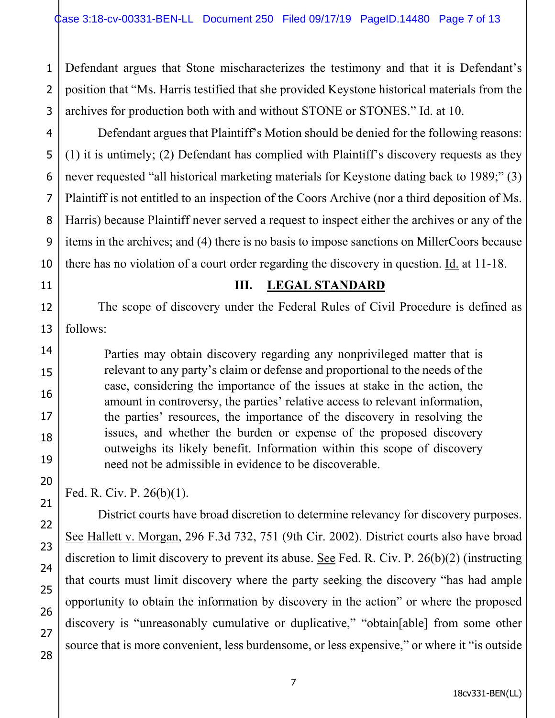1 2 3 Defendant argues that Stone mischaracterizes the testimony and that it is Defendant's position that "Ms. Harris testified that she provided Keystone historical materials from the archives for production both with and without STONE or STONES." Id. at 10.

Defendant argues that Plaintiff's Motion should be denied for the following reasons: (1) it is untimely; (2) Defendant has complied with Plaintiff's discovery requests as they never requested "all historical marketing materials for Keystone dating back to 1989;" (3) Plaintiff is not entitled to an inspection of the Coors Archive (nor a third deposition of Ms. Harris) because Plaintiff never served a request to inspect either the archives or any of the items in the archives; and (4) there is no basis to impose sanctions on MillerCoors because there has no violation of a court order regarding the discovery in question. Id. at 11-18.

11

4

5

#### **III. LEGAL STANDARD**

The scope of discovery under the Federal Rules of Civil Procedure is defined as follows:

Parties may obtain discovery regarding any nonprivileged matter that is relevant to any party's claim or defense and proportional to the needs of the case, considering the importance of the issues at stake in the action, the amount in controversy, the parties' relative access to relevant information, the parties' resources, the importance of the discovery in resolving the issues, and whether the burden or expense of the proposed discovery outweighs its likely benefit. Information within this scope of discovery need not be admissible in evidence to be discoverable.

Fed. R. Civ. P. 26(b)(1).

District courts have broad discretion to determine relevancy for discovery purposes. See Hallett v. Morgan, 296 F.3d 732, 751 (9th Cir. 2002). District courts also have broad discretion to limit discovery to prevent its abuse. See Fed. R. Civ. P. 26(b)(2) (instructing that courts must limit discovery where the party seeking the discovery "has had ample opportunity to obtain the information by discovery in the action" or where the proposed discovery is "unreasonably cumulative or duplicative," "obtain[able] from some other source that is more convenient, less burdensome, or less expensive," or where it "is outside

27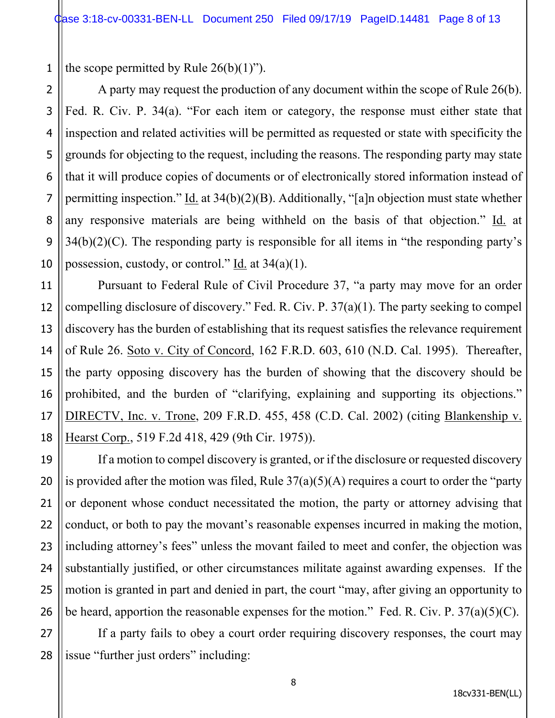1 the scope permitted by Rule  $26(b)(1)$ ").

2

3

4

5

6

7

8

9

10

11

12

13

14

15

16

17

18

19

20

21

22

23

24

25

26

A party may request the production of any document within the scope of Rule 26(b). Fed. R. Civ. P. 34(a). "For each item or category, the response must either state that inspection and related activities will be permitted as requested or state with specificity the grounds for objecting to the request, including the reasons. The responding party may state that it will produce copies of documents or of electronically stored information instead of permitting inspection." Id. at  $34(b)(2)(B)$ . Additionally, "[a]n objection must state whether any responsive materials are being withheld on the basis of that objection." Id. at  $34(b)(2)(C)$ . The responding party is responsible for all items in "the responding party's possession, custody, or control." Id. at  $34(a)(1)$ .

Pursuant to Federal Rule of Civil Procedure 37, "a party may move for an order compelling disclosure of discovery." Fed. R. Civ. P. 37(a)(1). The party seeking to compel discovery has the burden of establishing that its request satisfies the relevance requirement of Rule 26. Soto v. City of Concord, 162 F.R.D. 603, 610 (N.D. Cal. 1995). Thereafter, the party opposing discovery has the burden of showing that the discovery should be prohibited, and the burden of "clarifying, explaining and supporting its objections." DIRECTV, Inc. v. Trone, 209 F.R.D. 455, 458 (C.D. Cal. 2002) (citing Blankenship v. Hearst Corp., 519 F.2d 418, 429 (9th Cir. 1975)).

If a motion to compel discovery is granted, or if the disclosure or requested discovery is provided after the motion was filed, Rule  $37(a)(5)(A)$  requires a court to order the "party" or deponent whose conduct necessitated the motion, the party or attorney advising that conduct, or both to pay the movant's reasonable expenses incurred in making the motion, including attorney's fees" unless the movant failed to meet and confer, the objection was substantially justified, or other circumstances militate against awarding expenses. If the motion is granted in part and denied in part, the court "may, after giving an opportunity to be heard, apportion the reasonable expenses for the motion." Fed. R. Civ. P.  $37(a)(5)(C)$ .

27 28 If a party fails to obey a court order requiring discovery responses, the court may issue "further just orders" including: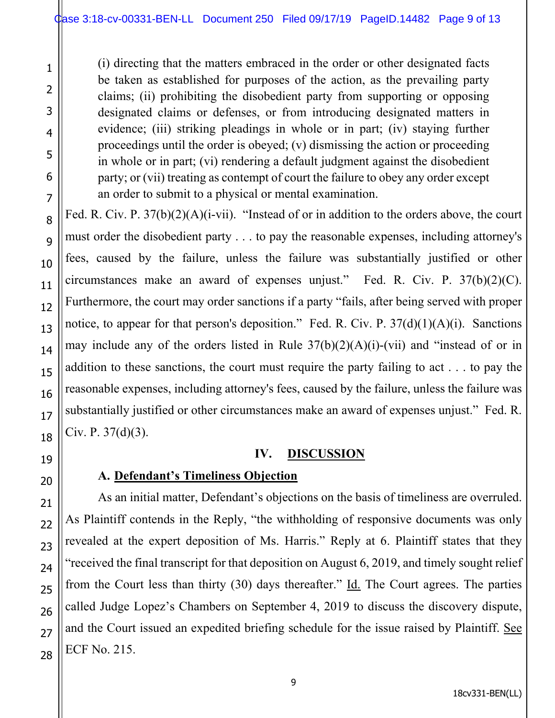(i) directing that the matters embraced in the order or other designated facts be taken as established for purposes of the action, as the prevailing party claims; (ii) prohibiting the disobedient party from supporting or opposing designated claims or defenses, or from introducing designated matters in evidence; (iii) striking pleadings in whole or in part; (iv) staying further proceedings until the order is obeyed; (v) dismissing the action or proceeding in whole or in part; (vi) rendering a default judgment against the disobedient party; or (vii) treating as contempt of court the failure to obey any order except an order to submit to a physical or mental examination.

Fed. R. Civ. P. 37(b)(2)(A)(i-vii). "Instead of or in addition to the orders above, the court must order the disobedient party . . . to pay the reasonable expenses, including attorney's fees, caused by the failure, unless the failure was substantially justified or other circumstances make an award of expenses unjust." Fed. R. Civ. P. 37(b)(2)(C). Furthermore, the court may order sanctions if a party "fails, after being served with proper notice, to appear for that person's deposition." Fed. R. Civ. P.  $37(d)(1)(A)(i)$ . Sanctions may include any of the orders listed in Rule  $37(b)(2)(A)(i)-(vii)$  and "instead of or in addition to these sanctions, the court must require the party failing to act . . . to pay the reasonable expenses, including attorney's fees, caused by the failure, unless the failure was substantially justified or other circumstances make an award of expenses unjust." Fed. R. Civ. P. 37(d)(3).

## **IV. DISCUSSION**

# **A. Defendant's Timeliness Objection**

As an initial matter, Defendant's objections on the basis of timeliness are overruled. As Plaintiff contends in the Reply, "the withholding of responsive documents was only revealed at the expert deposition of Ms. Harris." Reply at 6. Plaintiff states that they "received the final transcript for that deposition on August 6, 2019, and timely sought relief from the Court less than thirty  $(30)$  days thereafter." Id. The Court agrees. The parties called Judge Lopez's Chambers on September 4, 2019 to discuss the discovery dispute, and the Court issued an expedited briefing schedule for the issue raised by Plaintiff. See ECF No. 215.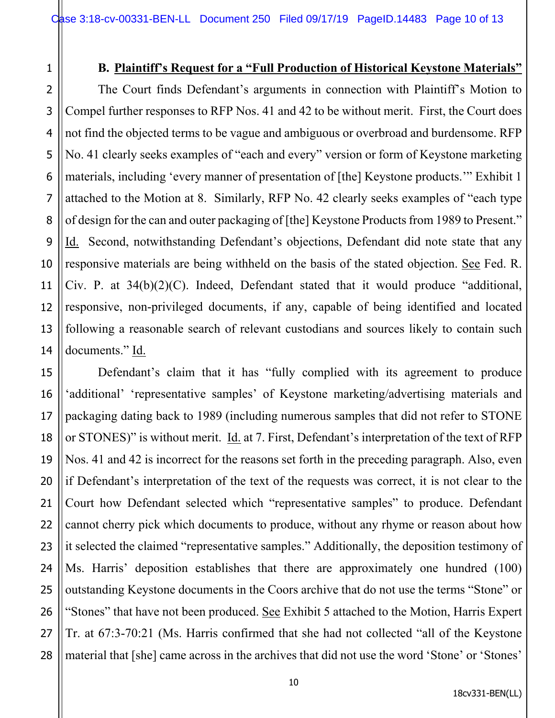3

4

5

6

7

8

9

10

11

12

13

14

#### **B. Plaintiff's Request for a "Full Production of Historical Keystone Materials"**

The Court finds Defendant's arguments in connection with Plaintiff's Motion to Compel further responses to RFP Nos. 41 and 42 to be without merit. First, the Court does not find the objected terms to be vague and ambiguous or overbroad and burdensome. RFP No. 41 clearly seeks examples of "each and every" version or form of Keystone marketing materials, including 'every manner of presentation of [the] Keystone products.'" Exhibit 1 attached to the Motion at 8. Similarly, RFP No. 42 clearly seeks examples of "each type of design for the can and outer packaging of [the] Keystone Products from 1989 to Present." Id. Second, notwithstanding Defendant's objections, Defendant did note state that any responsive materials are being withheld on the basis of the stated objection. See Fed. R. Civ. P. at 34(b)(2)(C). Indeed, Defendant stated that it would produce "additional, responsive, non-privileged documents, if any, capable of being identified and located following a reasonable search of relevant custodians and sources likely to contain such documents." Id.

15 16 17 18 19 20 21 22 23 24 25 26 27 28 Defendant's claim that it has "fully complied with its agreement to produce 'additional' 'representative samples' of Keystone marketing/advertising materials and packaging dating back to 1989 (including numerous samples that did not refer to STONE or STONES)" is without merit. Id. at 7. First, Defendant's interpretation of the text of RFP Nos. 41 and 42 is incorrect for the reasons set forth in the preceding paragraph. Also, even if Defendant's interpretation of the text of the requests was correct, it is not clear to the Court how Defendant selected which "representative samples" to produce. Defendant cannot cherry pick which documents to produce, without any rhyme or reason about how it selected the claimed "representative samples." Additionally, the deposition testimony of Ms. Harris' deposition establishes that there are approximately one hundred (100) outstanding Keystone documents in the Coors archive that do not use the terms "Stone" or "Stones" that have not been produced. See Exhibit 5 attached to the Motion, Harris Expert Tr. at 67:3-70:21 (Ms. Harris confirmed that she had not collected "all of the Keystone material that [she] came across in the archives that did not use the word 'Stone' or 'Stones'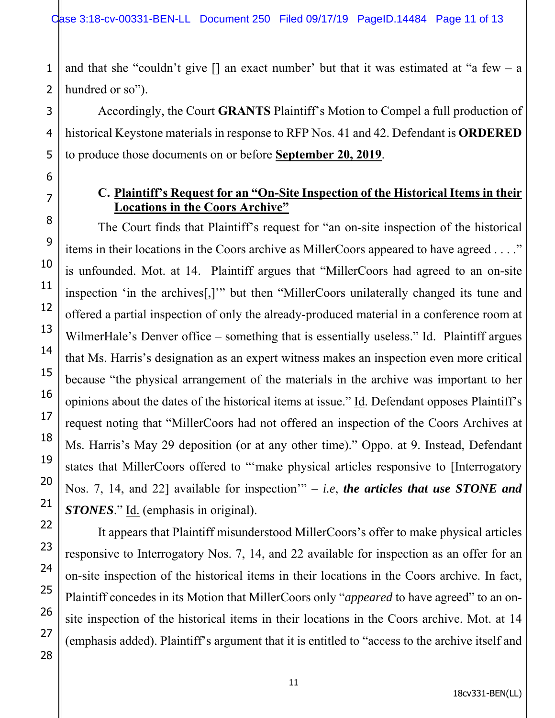1 and that she "couldn't give  $\lceil \rceil$  an exact number' but that it was estimated at "a few – a hundred or so").

Accordingly, the Court **GRANTS** Plaintiff's Motion to Compel a full production of historical Keystone materials in response to RFP Nos. 41 and 42. Defendant is **ORDERED** to produce those documents on or before **September 20, 2019**.

## **C. Plaintiff's Request for an "On-Site Inspection of the Historical Items in their Locations in the Coors Archive"**

The Court finds that Plaintiff's request for "an on-site inspection of the historical items in their locations in the Coors archive as MillerCoors appeared to have agreed . . . ." is unfounded. Mot. at 14. Plaintiff argues that "MillerCoors had agreed to an on-site inspection 'in the archives[,]'" but then "MillerCoors unilaterally changed its tune and offered a partial inspection of only the already-produced material in a conference room at WilmerHale's Denver office – something that is essentially useless." Id. Plaintiff argues that Ms. Harris's designation as an expert witness makes an inspection even more critical because "the physical arrangement of the materials in the archive was important to her opinions about the dates of the historical items at issue." Id. Defendant opposes Plaintiff's request noting that "MillerCoors had not offered an inspection of the Coors Archives at Ms. Harris's May 29 deposition (or at any other time)." Oppo. at 9. Instead, Defendant states that MillerCoors offered to "'make physical articles responsive to [Interrogatory Nos. 7, 14, and 22] available for inspection'" – *i.e*, *the articles that use STONE and STONES*." Id. (emphasis in original).

It appears that Plaintiff misunderstood MillerCoors's offer to make physical articles responsive to Interrogatory Nos. 7, 14, and 22 available for inspection as an offer for an on-site inspection of the historical items in their locations in the Coors archive. In fact, Plaintiff concedes in its Motion that MillerCoors only "*appeared* to have agreed" to an onsite inspection of the historical items in their locations in the Coors archive. Mot. at 14 (emphasis added). Plaintiff's argument that it is entitled to "access to the archive itself and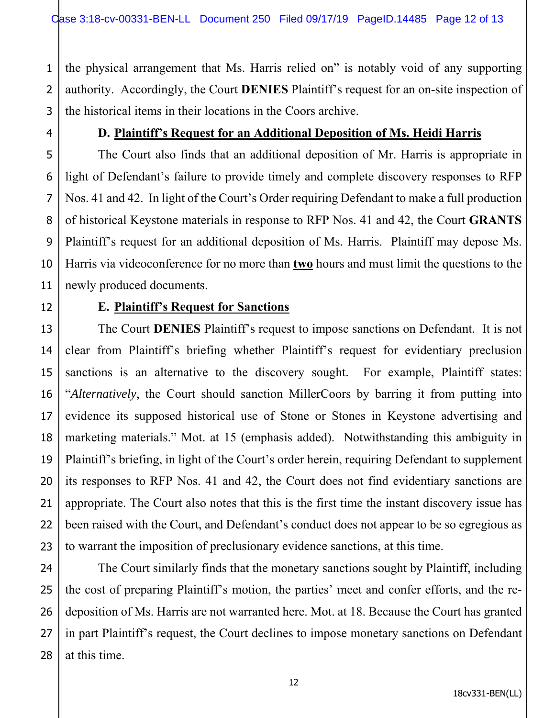1 the physical arrangement that Ms. Harris relied on" is notably void of any supporting authority. Accordingly, the Court **DENIES** Plaintiff's request for an on-site inspection of the historical items in their locations in the Coors archive.

#### **D. Plaintiff's Request for an Additional Deposition of Ms. Heidi Harris**

The Court also finds that an additional deposition of Mr. Harris is appropriate in light of Defendant's failure to provide timely and complete discovery responses to RFP Nos. 41 and 42. In light of the Court's Order requiring Defendant to make a full production of historical Keystone materials in response to RFP Nos. 41 and 42, the Court **GRANTS** Plaintiff's request for an additional deposition of Ms. Harris. Plaintiff may depose Ms. Harris via videoconference for no more than **two** hours and must limit the questions to the newly produced documents.

#### **E. Plaintiff's Request for Sanctions**

The Court **DENIES** Plaintiff's request to impose sanctions on Defendant. It is not clear from Plaintiff's briefing whether Plaintiff's request for evidentiary preclusion sanctions is an alternative to the discovery sought. For example, Plaintiff states: "*Alternatively*, the Court should sanction MillerCoors by barring it from putting into evidence its supposed historical use of Stone or Stones in Keystone advertising and marketing materials." Mot. at 15 (emphasis added). Notwithstanding this ambiguity in Plaintiff's briefing, in light of the Court's order herein, requiring Defendant to supplement its responses to RFP Nos. 41 and 42, the Court does not find evidentiary sanctions are appropriate. The Court also notes that this is the first time the instant discovery issue has been raised with the Court, and Defendant's conduct does not appear to be so egregious as to warrant the imposition of preclusionary evidence sanctions, at this time.

The Court similarly finds that the monetary sanctions sought by Plaintiff, including the cost of preparing Plaintiff's motion, the parties' meet and confer efforts, and the redeposition of Ms. Harris are not warranted here. Mot. at 18. Because the Court has granted in part Plaintiff's request, the Court declines to impose monetary sanctions on Defendant at this time.